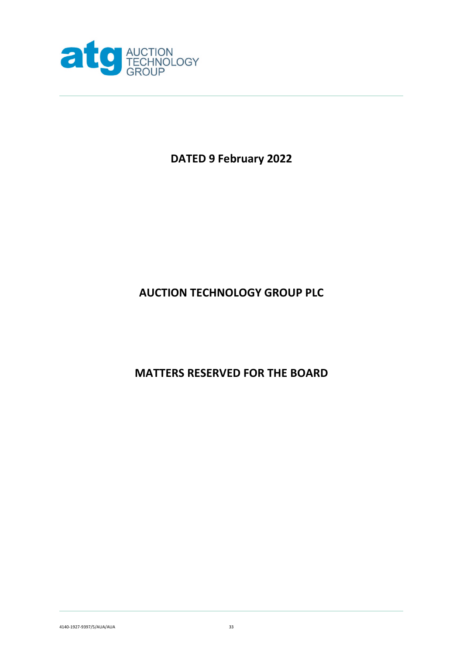

# **DATED 9 February 2022**

# **AUCTION TECHNOLOGY GROUP PLC**

**MATTERS RESERVED FOR THE BOARD**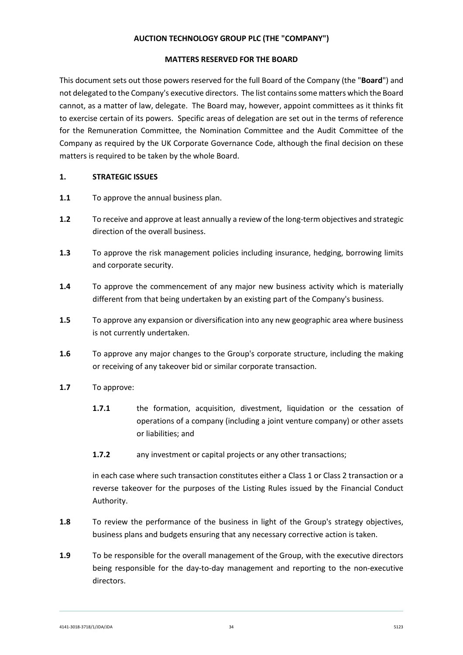## **AUCTION TECHNOLOGY GROUP PLC (THE "COMPANY")**

#### **MATTERS RESERVED FOR THE BOARD**

This document sets out those powers reserved for the full Board of the Company (the "**Board**") and not delegated to the Company's executive directors. The list contains some matters which the Board cannot, as a matter of law, delegate. The Board may, however, appoint committees as it thinks fit to exercise certain of its powers. Specific areas of delegation are set out in the terms of reference for the Remuneration Committee, the Nomination Committee and the Audit Committee of the Company as required by the UK Corporate Governance Code, although the final decision on these matters is required to be taken by the whole Board.

### **1. STRATEGIC ISSUES**

- **1.1** To approve the annual business plan.
- **1.2** To receive and approve at least annually a review of the long-term objectives and strategic direction of the overall business.
- **1.3** To approve the risk management policies including insurance, hedging, borrowing limits and corporate security.
- **1.4** To approve the commencement of any major new business activity which is materially different from that being undertaken by an existing part of the Company's business.
- **1.5** To approve any expansion or diversification into any new geographic area where business is not currently undertaken.
- **1.6** To approve any major changes to the Group's corporate structure, including the making or receiving of any takeover bid or similar corporate transaction.
- **1.7** To approve:
	- **1.7.1** the formation, acquisition, divestment, liquidation or the cessation of operations of a company (including a joint venture company) or other assets or liabilities; and
	- **1.7.2** any investment or capital projects or any other transactions;

in each case where such transaction constitutes either a Class 1 or Class 2 transaction or a reverse takeover for the purposes of the Listing Rules issued by the Financial Conduct Authority.

- **1.8** To review the performance of the business in light of the Group's strategy objectives, business plans and budgets ensuring that any necessary corrective action is taken.
- **1.9** To be responsible for the overall management of the Group, with the executive directors being responsible for the day-to-day management and reporting to the non-executive directors.

4141-3018-3718/1/JDA/JDA 34 5123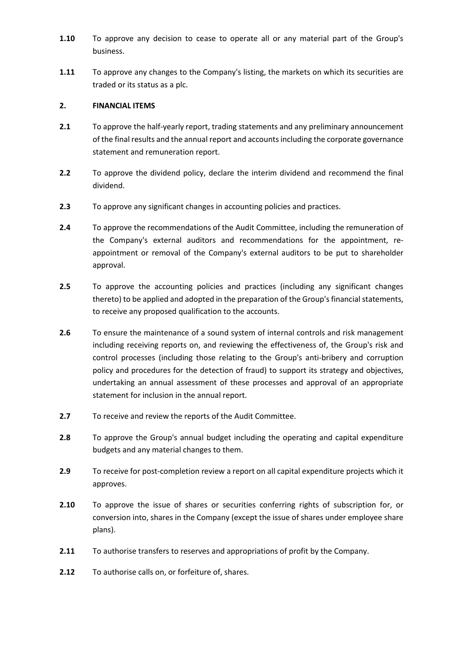- **1.10** To approve any decision to cease to operate all or any material part of the Group's business.
- **1.11** To approve any changes to the Company's listing, the markets on which its securities are traded or its status as a plc.

## **2. FINANCIAL ITEMS**

- **2.1** To approve the half-yearly report, trading statements and any preliminary announcement of the final results and the annual report and accounts including the corporate governance statement and remuneration report.
- **2.2** To approve the dividend policy, declare the interim dividend and recommend the final dividend.
- **2.3** To approve any significant changes in accounting policies and practices.
- **2.4** To approve the recommendations of the Audit Committee, including the remuneration of the Company's external auditors and recommendations for the appointment, reappointment or removal of the Company's external auditors to be put to shareholder approval.
- **2.5** To approve the accounting policies and practices (including any significant changes thereto) to be applied and adopted in the preparation of the Group's financial statements, to receive any proposed qualification to the accounts.
- **2.6** To ensure the maintenance of a sound system of internal controls and risk management including receiving reports on, and reviewing the effectiveness of, the Group's risk and control processes (including those relating to the Group's anti-bribery and corruption policy and procedures for the detection of fraud) to support its strategy and objectives, undertaking an annual assessment of these processes and approval of an appropriate statement for inclusion in the annual report.
- **2.7** To receive and review the reports of the Audit Committee.
- **2.8** To approve the Group's annual budget including the operating and capital expenditure budgets and any material changes to them.
- **2.9** To receive for post-completion review a report on all capital expenditure projects which it approves.
- **2.10** To approve the issue of shares or securities conferring rights of subscription for, or conversion into, shares in the Company (except the issue of shares under employee share plans).
- **2.11** To authorise transfers to reserves and appropriations of profit by the Company.
- **2.12** To authorise calls on, or forfeiture of, shares.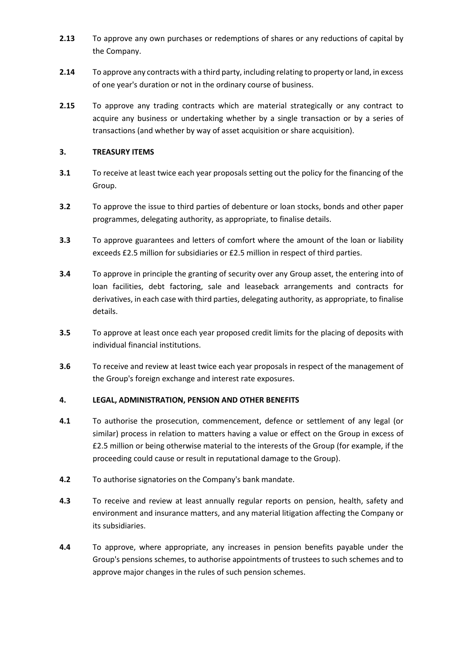- **2.13** To approve any own purchases or redemptions of shares or any reductions of capital by the Company.
- **2.14** To approve any contracts with a third party, including relating to property or land, in excess of one year's duration or not in the ordinary course of business.
- **2.15** To approve any trading contracts which are material strategically or any contract to acquire any business or undertaking whether by a single transaction or by a series of transactions (and whether by way of asset acquisition or share acquisition).

## **3. TREASURY ITEMS**

- **3.1** To receive at least twice each year proposals setting out the policy for the financing of the Group.
- **3.2** To approve the issue to third parties of debenture or loan stocks, bonds and other paper programmes, delegating authority, as appropriate, to finalise details.
- **3.3** To approve guarantees and letters of comfort where the amount of the loan or liability exceeds £2.5 million for subsidiaries or £2.5 million in respect of third parties.
- **3.4** To approve in principle the granting of security over any Group asset, the entering into of loan facilities, debt factoring, sale and leaseback arrangements and contracts for derivatives, in each case with third parties, delegating authority, as appropriate, to finalise details.
- **3.5** To approve at least once each year proposed credit limits for the placing of deposits with individual financial institutions.
- **3.6** To receive and review at least twice each year proposals in respect of the management of the Group's foreign exchange and interest rate exposures.

## **4. LEGAL, ADMINISTRATION, PENSION AND OTHER BENEFITS**

- **4.1** To authorise the prosecution, commencement, defence or settlement of any legal (or similar) process in relation to matters having a value or effect on the Group in excess of £2.5 million or being otherwise material to the interests of the Group (for example, if the proceeding could cause or result in reputational damage to the Group).
- **4.2** To authorise signatories on the Company's bank mandate.
- **4.3** To receive and review at least annually regular reports on pension, health, safety and environment and insurance matters, and any material litigation affecting the Company or its subsidiaries.
- **4.4** To approve, where appropriate, any increases in pension benefits payable under the Group's pensions schemes, to authorise appointments of trustees to such schemes and to approve major changes in the rules of such pension schemes.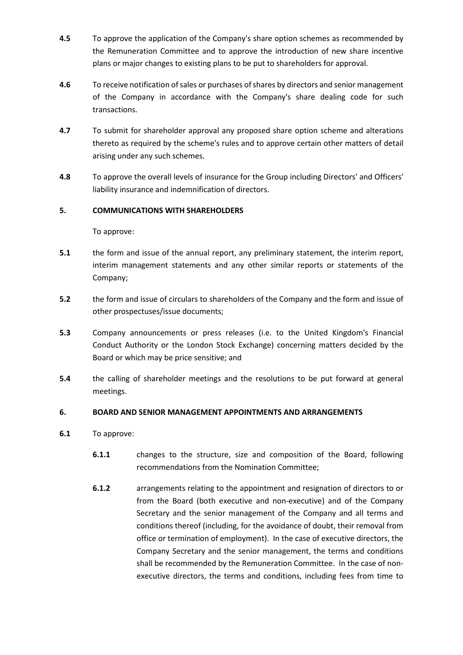- **4.5** To approve the application of the Company's share option schemes as recommended by the Remuneration Committee and to approve the introduction of new share incentive plans or major changes to existing plans to be put to shareholders for approval.
- **4.6** To receive notification of sales or purchases of shares by directors and senior management of the Company in accordance with the Company's share dealing code for such transactions.
- **4.7** To submit for shareholder approval any proposed share option scheme and alterations thereto as required by the scheme's rules and to approve certain other matters of detail arising under any such schemes.
- **4.8** To approve the overall levels of insurance for the Group including Directors' and Officers' liability insurance and indemnification of directors.

## **5. COMMUNICATIONS WITH SHAREHOLDERS**

### To approve:

- **5.1** the form and issue of the annual report, any preliminary statement, the interim report, interim management statements and any other similar reports or statements of the Company;
- **5.2** the form and issue of circulars to shareholders of the Company and the form and issue of other prospectuses/issue documents;
- **5.3** Company announcements or press releases (i.e. to the United Kingdom's Financial Conduct Authority or the London Stock Exchange) concerning matters decided by the Board or which may be price sensitive; and
- **5.4** the calling of shareholder meetings and the resolutions to be put forward at general meetings.

### **6. BOARD AND SENIOR MANAGEMENT APPOINTMENTS AND ARRANGEMENTS**

- **6.1** To approve:
	- **6.1.1** changes to the structure, size and composition of the Board, following recommendations from the Nomination Committee;
	- **6.1.2** arrangements relating to the appointment and resignation of directors to or from the Board (both executive and non-executive) and of the Company Secretary and the senior management of the Company and all terms and conditions thereof (including, for the avoidance of doubt, their removal from office or termination of employment). In the case of executive directors, the Company Secretary and the senior management, the terms and conditions shall be recommended by the Remuneration Committee. In the case of nonexecutive directors, the terms and conditions, including fees from time to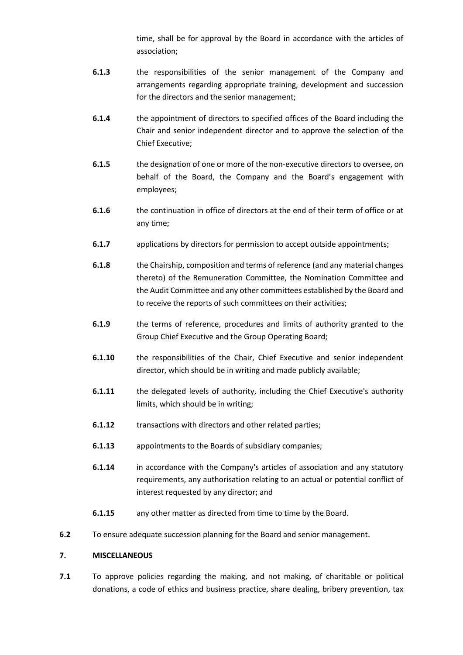time, shall be for approval by the Board in accordance with the articles of association;

- **6.1.3** the responsibilities of the senior management of the Company and arrangements regarding appropriate training, development and succession for the directors and the senior management;
- **6.1.4** the appointment of directors to specified offices of the Board including the Chair and senior independent director and to approve the selection of the Chief Executive;
- **6.1.5** the designation of one or more of the non-executive directors to oversee, on behalf of the Board, the Company and the Board's engagement with employees;
- **6.1.6** the continuation in office of directors at the end of their term of office or at any time;
- **6.1.7** applications by directors for permission to accept outside appointments;
- **6.1.8** the Chairship, composition and terms of reference (and any material changes thereto) of the Remuneration Committee, the Nomination Committee and the Audit Committee and any other committees established by the Board and to receive the reports of such committees on their activities;
- **6.1.9** the terms of reference, procedures and limits of authority granted to the Group Chief Executive and the Group Operating Board;
- **6.1.10** the responsibilities of the Chair, Chief Executive and senior independent director, which should be in writing and made publicly available;
- **6.1.11** the delegated levels of authority, including the Chief Executive's authority limits, which should be in writing;
- **6.1.12** transactions with directors and other related parties;
- **6.1.13** appointments to the Boards of subsidiary companies;
- **6.1.14** in accordance with the Company's articles of association and any statutory requirements, any authorisation relating to an actual or potential conflict of interest requested by any director; and
- **6.1.15** any other matter as directed from time to time by the Board.
- **6.2** To ensure adequate succession planning for the Board and senior management.

### **7. MISCELLANEOUS**

**7.1** To approve policies regarding the making, and not making, of charitable or political donations, a code of ethics and business practice, share dealing, bribery prevention, tax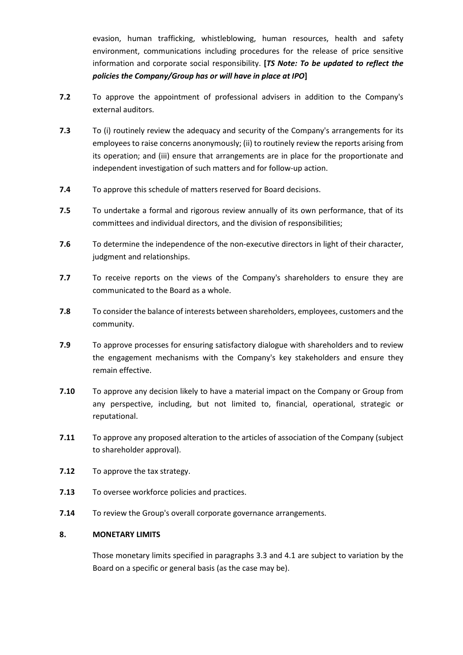evasion, human trafficking, whistleblowing, human resources, health and safety environment, communications including procedures for the release of price sensitive information and corporate social responsibility. **[***TS Note: To be updated to reflect the policies the Company/Group has or will have in place at IPO***]**

- **7.2** To approve the appointment of professional advisers in addition to the Company's external auditors.
- **7.3** To (i) routinely review the adequacy and security of the Company's arrangements for its employees to raise concerns anonymously; (ii) to routinely review the reports arising from its operation; and (iii) ensure that arrangements are in place for the proportionate and independent investigation of such matters and for follow-up action.
- **7.4** To approve this schedule of matters reserved for Board decisions.
- **7.5** To undertake a formal and rigorous review annually of its own performance, that of its committees and individual directors, and the division of responsibilities;
- **7.6** To determine the independence of the non-executive directors in light of their character, judgment and relationships.
- **7.7** To receive reports on the views of the Company's shareholders to ensure they are communicated to the Board as a whole.
- **7.8** To consider the balance of interests between shareholders, employees, customers and the community.
- **7.9** To approve processes for ensuring satisfactory dialogue with shareholders and to review the engagement mechanisms with the Company's key stakeholders and ensure they remain effective.
- **7.10** To approve any decision likely to have a material impact on the Company or Group from any perspective, including, but not limited to, financial, operational, strategic or reputational.
- **7.11** To approve any proposed alteration to the articles of association of the Company (subject to shareholder approval).
- **7.12** To approve the tax strategy.
- **7.13** To oversee workforce policies and practices.
- **7.14** To review the Group's overall corporate governance arrangements.

## **8. MONETARY LIMITS**

Those monetary limits specified in paragraphs 3.3 and 4.1 are subject to variation by the Board on a specific or general basis (as the case may be).